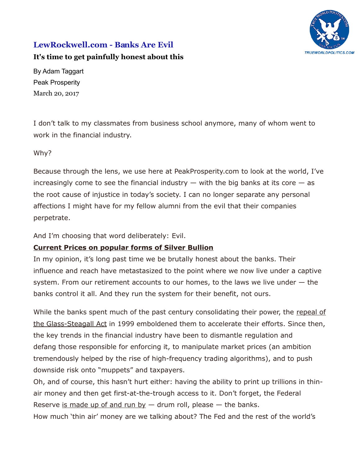

# **LewRockwell.com - Banks Are Evil**

## **[It's time to get painfully honest about this](https://www.lewrockwell.com/2017/03/no_author/banks-evil/)**

By Adam Taggart Peak Prosperity March 20, 2017

I don't talk to my classmates from business school anymore, many of whom went to work in the financial industry.

Why?

Because through the lens, we use here at PeakProsperity.com to look at the world, I've increasingly come to see the financial industry  $-$  with the big banks at its core  $-$  as the root cause of injustice in today's society. I can no longer separate any personal affections I might have for my fellow alumni from the evil that their companies perpetrate.

And I'm choosing that word deliberately: Evil.

# **[Current Prices on popular forms of Silver Bullion](http://www.cmi-gold-silver.com/silver-bullion-prices/?utm_source=LRC&utm_medium=textad&utm_campaign=silverprices)**

In my opinion, it's long past time we be brutally honest about the banks. Their influence and reach have metastasized to the point where we now live under a captive system. From our retirement accounts to our homes, to the laws we live under — the banks control it all. And they run the system for their benefit, not ours.

While the banks spent much of the past century consolidating their power, the [repeal of](https://dealbook.nytimes.com/2009/11/12/10-years-later-looking-at-repeal-of-glass-steagall/) [the Glass-Steagall Act](https://dealbook.nytimes.com/2009/11/12/10-years-later-looking-at-repeal-of-glass-steagall/) in 1999 emboldened them to accelerate their efforts. Since then, the key trends in the financial industry have been to dismantle regulation and defang those responsible for enforcing it, to manipulate market prices (an ambition tremendously helped by the rise of high-frequency trading algorithms), and to push downside risk onto "muppets" and taxpayers.

Oh, and of course, this hasn't hurt either: having the ability to print up trillions in thinair money and then get first-at-the-trough access to it. Don't forget, the Federal Reserve [is made up of and run by](https://en.wikipedia.org/wiki/Federal_Reserve_System#/media/File:FederalReserve_System.png)  $-$  drum roll, please  $-$  the banks.

How much 'thin air' money are we talking about? The Fed and the rest of the world's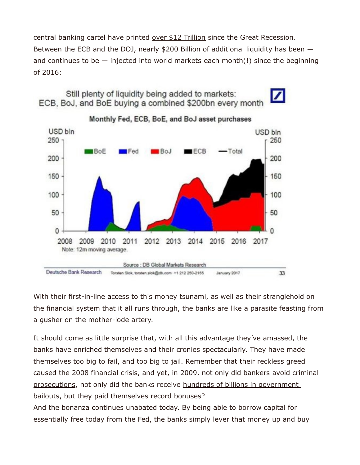central banking cartel have printed [over \\$12 Trillion](http://www.yardeni.com/pub/peacockfedecbassets.pdf) since the Great Recession. Between the ECB and the DOJ, nearly \$200 Billion of additional liquidity has been  $$ and continues to be  $-$  injected into world markets each month(!) since the beginning of 2016:

Still plenty of liquidity being added to markets: ECB, BoJ, and BoE buying a combined \$200bn every month





Monthly Fed, ECB, BoE, and BoJ asset purchases

With their first-in-line access to this money tsunami, as well as their stranglehold on the financial system that it all runs through, the banks are like a parasite feasting from a gusher on the mother-lode artery.

It should come as little surprise that, with all this advantage they've amassed, the banks have enriched themselves and their cronies spectacularly. They have made themselves too big to fail, and too big to jail. Remember that their reckless greed caused the 2008 financial crisis, and yet, in 2009, not only did bankers avoid criminal [prosecutions,](https://www.theatlantic.com/magazine/archive/2015/09/how-wall-streets-bankers-stayed-out-of-jail/399368/) not only did the banks receive hundreds of billions in government [bailouts,](https://en.wikipedia.org/wiki/Emergency_Economic_Stabilization_Act_of_2008) but they [paid themselves record bonuses?](https://www.nytimes.com/2009/07/31/business/31pay.html)

And the bonanza continues unabated today. By being able to borrow capital for essentially free today from the Fed, the banks simply lever that money up and buy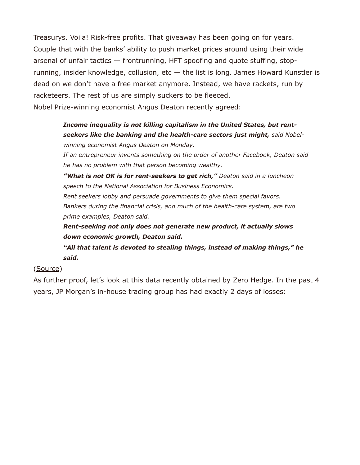Treasurys. Voila! Risk-free profits. That giveaway has been going on for years. Couple that with the banks' ability to push market prices around using their wide arsenal of unfair tactics — frontrunning, HFT spoofing and quote stuffing, stoprunning, insider knowledge, collusion, etc  $-$  the list is long. James Howard Kunstler is dead on we don't have a free market anymore. Instead, [we have rackets,](https://www.peakprosperity.com/podcast/100707/james-howard-kunstler-racketeering-ruining-us) run by racketeers. The rest of us are simply suckers to be fleeced. Nobel Prize-winning economist Angus Deaton recently agreed:

# *Income inequality is not killing capitalism in the United States, but rentseekers like the banking and the health-care sectors just might, said Nobelwinning economist Angus Deaton on Monday.*

*If an entrepreneur invents something on the order of another Facebook, Deaton said he has no problem with that person becoming wealthy.*

*"What is not OK is for rent-seekers to get rich," Deaton said in a luncheon speech to the National Association for Business Economics. Rent seekers lobby and persuade governments to give them special favors. Bankers during the financial crisis, and much of the health-care system, are two prime examples, Deaton said.*

*Rent-seeking not only does not generate new product, it actually slows down economic growth, Deaton said.*

*"All that talent is devoted to stealing things, instead of making things," he said.*

### [\(Source\)](https://www.marketwatch.com/story/nobel-economist-takes-aim-at-rent-seeking-banking-and-healthcare-industries-2017-03-06?siteid=rss)

As further proof, let's look at this data recently obtained by [Zero Hedge.](http://www.zerohedge.com/news/2017-03-01/jpmorgans-trading-desk-lost-money-just-two-days-past-4-years) In the past 4 years, JP Morgan's in-house trading group has had exactly 2 days of losses: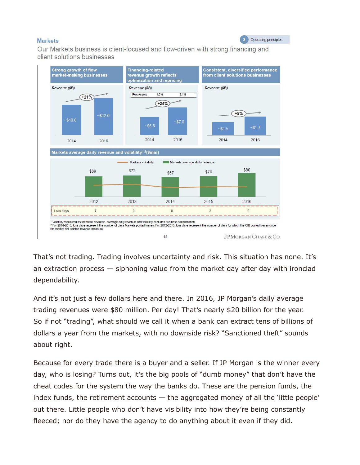#### **Markets**

2 Operating principles

Our Markets business is client-focused and flow-driven with strong financing and client solutions businesses



That's not trading. Trading involves uncertainty and risk. This situation has none. It's an extraction process  $-$  siphoning value from the market day after day with ironclad dependability.

And it's not just a few dollars here and there. In 2016, JP Morgan's daily average trading revenues were \$80 million. Per day! That's nearly \$20 billion for the year. So if not "trading", what should we call it when a bank can extract tens of billions of dollars a year from the markets, with no downside risk? "Sanctioned theft" sounds about right.

Because for every trade there is a buyer and a seller. If JP Morgan is the winner every day, who is losing? Turns out, it's the big pools of "dumb money" that don't have the cheat codes for the system the way the banks do. These are the pension funds, the index funds, the retirement accounts  $-$  the aggregated money of all the 'little people' out there. Little people who don't have visibility into how they're being constantly fleeced; nor do they have the agency to do anything about it even if they did.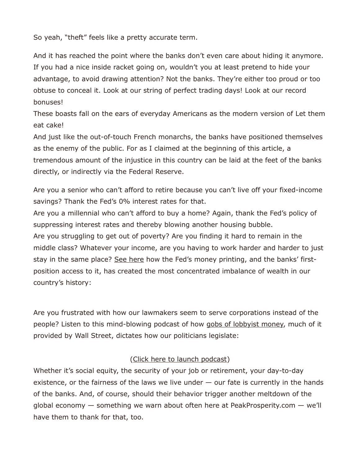So yeah, "theft" feels like a pretty accurate term.

And it has reached the point where the banks don't even care about hiding it anymore. If you had a nice inside racket going on, wouldn't you at least pretend to hide your advantage, to avoid drawing attention? Not the banks. They're either too proud or too obtuse to conceal it. Look at our string of perfect trading days! Look at our record bonuses!

These boasts fall on the ears of everyday Americans as the modern version of Let them eat cake!

And just like the out-of-touch French monarchs, the banks have positioned themselves as the enemy of the public. For as I claimed at the beginning of this article, a tremendous amount of the injustice in this country can be laid at the feet of the banks directly, or indirectly via the Federal Reserve.

Are you a senior who can't afford to retire because you can't live off your fixed-income savings? Thank the Fed's 0% interest rates for that.

Are you a millennial who can't afford to buy a home? Again, thank the Fed's policy of suppressing interest rates and thereby blowing another housing bubble.

Are you struggling to get out of poverty? Are you finding it hard to remain in the middle class? Whatever your income, are you having to work harder and harder to just stay in the same place? [See here](https://youtu.be/QPKKQnijnsM) how the Fed's money printing, and the banks' firstposition access to it, has created the most concentrated imbalance of wealth in our country's history:

Are you frustrated with how our lawmakers seem to serve corporations instead of the people? Listen to this mind-blowing podcast of how [gobs of lobbyist money,](https://www.thisamericanlife.org/radio-archives/episode/461/transcript) much of it provided by Wall Street, dictates how our politicians legislate:

### [\(Click here to launch podcast\)](https://www.thisamericanlife.org/radio-archives/episode/461/take-the-money-and-run-for-office)

Whether it's social equity, the security of your job or retirement, your day-to-day existence, or the fairness of the laws we live under — our fate is currently in the hands of the banks. And, of course, should their behavior trigger another meltdown of the global economy — something we warn about often here at PeakProsperity.com — we'll have them to thank for that, too.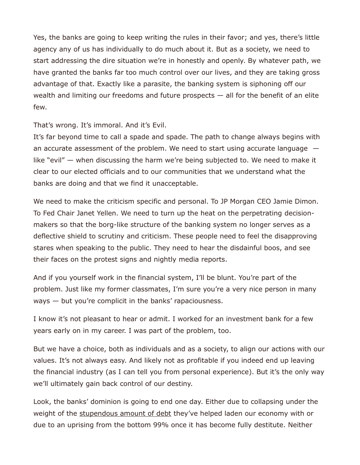Yes, the banks are going to keep writing the rules in their favor; and yes, there's little agency any of us has individually to do much about it. But as a society, we need to start addressing the dire situation we're in honestly and openly. By whatever path, we have granted the banks far too much control over our lives, and they are taking gross advantage of that. Exactly like a parasite, the banking system is siphoning off our wealth and limiting our freedoms and future prospects  $-$  all for the benefit of an elite few.

That's wrong. It's immoral. And it's Evil.

It's far beyond time to call a spade and spade. The path to change always begins with an accurate assessment of the problem. We need to start using accurate language  $$ like "evil" — when discussing the harm we're being subjected to. We need to make it clear to our elected officials and to our communities that we understand what the banks are doing and that we find it unacceptable.

We need to make the criticism specific and personal. To JP Morgan CEO Jamie Dimon. To Fed Chair Janet Yellen. We need to turn up the heat on the perpetrating decisionmakers so that the borg-like structure of the banking system no longer serves as a deflective shield to scrutiny and criticism. These people need to feel the disapproving stares when speaking to the public. They need to hear the disdainful boos, and see their faces on the protest signs and nightly media reports.

And if you yourself work in the financial system, I'll be blunt. You're part of the problem. Just like my former classmates, I'm sure you're a very nice person in many ways — but you're complicit in the banks' rapaciousness.

I know it's not pleasant to hear or admit. I worked for an investment bank for a few years early on in my career. I was part of the problem, too.

But we have a choice, both as individuals and as a society, to align our actions with our values. It's not always easy. And likely not as profitable if you indeed end up leaving the financial industry (as I can tell you from personal experience). But it's the only way we'll ultimately gain back control of our destiny.

Look, the banks' dominion is going to end one day. Either due to collapsing under the weight of the [stupendous amount of debt](https://www.peakprosperity.com/blog/107199/mother-all-financial-bubbles) they've helped laden our economy with or due to an uprising from the bottom 99% once it has become fully destitute. Neither